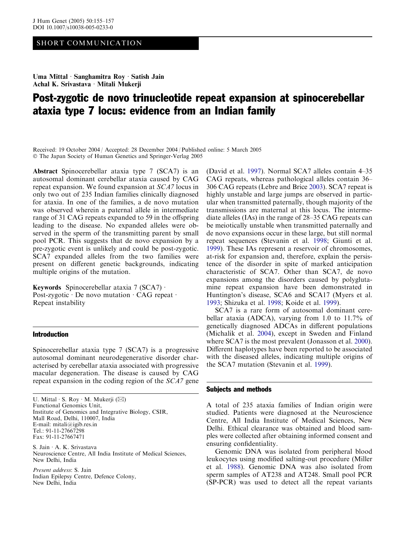## SHORT COMMUNICATION

Uma Mittal · Sanghamitra Roy · Satish Jain Achal K. Srivastava · Mitali Mukerji

# Post-zygotic de novo trinucleotide repeat expansion at spinocerebellar ataxia type 7 locus: evidence from an Indian family

Received: 19 October 2004 / Accepted: 28 December 2004 / Published online: 5 March 2005 The Japan Society of Human Genetics and Springer-Verlag 2005

Abstract Spinocerebellar ataxia type 7 (SCA7) is an autosomal dominant cerebellar ataxia caused by CAG repeat expansion. We found expansion at SCA7 locus in only two out of 235 Indian families clinically diagnosed for ataxia. In one of the families, a de novo mutation was observed wherein a paternal allele in intermediate range of 31 CAG repeats expanded to 59 in the offspring leading to the disease. No expanded alleles were observed in the sperm of the transmitting parent by small pool PCR. This suggests that de novo expansion by a pre-zygotic event is unlikely and could be post-zygotic. SCA7 expanded alleles from the two families were present on different genetic backgrounds, indicating multiple origins of the mutation.

Keywords Spinocerebellar ataxia  $7 (SCA)$ . Post-zygotic  $\cdot$  De novo mutation  $\cdot$  CAG repeat  $\cdot$ Repeat instability

### Introduction

Spinocerebellar ataxia type 7 (SCA7) is a progressive autosomal dominant neurodegenerative disorder characterised by cerebellar ataxia associated with progressive macular degeneration. The disease is caused by CAG repeat expansion in the coding region of the SCA7 gene

S. Jain A. K. Srivastava Neuroscience Centre, All India Institute of Medical Sciences, New Delhi, India

Present address: S. Jain Indian Epilepsy Centre, Defence Colony, New Delhi, India

(David et al. 1997). Normal SCA7 alleles contain 4–35 CAG repeats, whereas pathological alleles contain 36– 306 CAG repeats (Lebre and Brice 2003). SCA7 repeat is highly unstable and large jumps are observed in particular when transmitted paternally, though majority of the transmissions are maternal at this locus. The intermediate alleles (IAs) in the range of 28–35 CAG repeats can be meiotically unstable when transmitted paternally and de novo expansions occur in these large, but still normal repeat sequences (Stevanin et al. 1998; Giunti et al. 1999). These IAs represent a reservoir of chromosomes, at-risk for expansion and, therefore, explain the persistence of the disorder in spite of marked anticipation characteristic of SCA7. Other than SCA7, de novo expansions among the disorders caused by polyglutamine repeat expansion have been demonstrated in Huntington's disease, SCA6 and SCA17 (Myers et al. 1993; Shizuka et al. 1998; Koide et al. 1999).

SCA7 is a rare form of autosomal dominant cerebellar ataxia (ADCA), varying from 1.0 to 11.7% of genetically diagnosed ADCAs in different populations (Michalik et al. 2004), except in Sweden and Finland where SCA7 is the most prevalent (Jonasson et al. 2000). Different haplotypes have been reported to be associated with the diseased alleles, indicating multiple origins of the SCA7 mutation (Stevanin et al. 1999).

#### Subjects and methods

A total of 235 ataxia families of Indian origin were studied. Patients were diagnosed at the Neuroscience Centre, All India Institute of Medical Sciences, New Delhi. Ethical clearance was obtained and blood samples were collected after obtaining informed consent and ensuring confidentiality.

Genomic DNA was isolated from peripheral blood leukocytes using modified salting-out procedure (Miller et al. 1988). Genomic DNA was also isolated from sperm samples of AT238 and AT248. Small pool PCR (SP-PCR) was used to detect all the repeat variants

U. Mittal  $\cdot$  S. Roy  $\cdot$  M. Mukerji ( $\boxtimes$ ) Functional Genomics Unit, Institute of Genomics and Integrative Biology, CSIR, Mall Road, Delhi, 110007, India E-mail: mitali@igib.res.in Tel.: 91-11-27667298 Fax: 91-11-27667471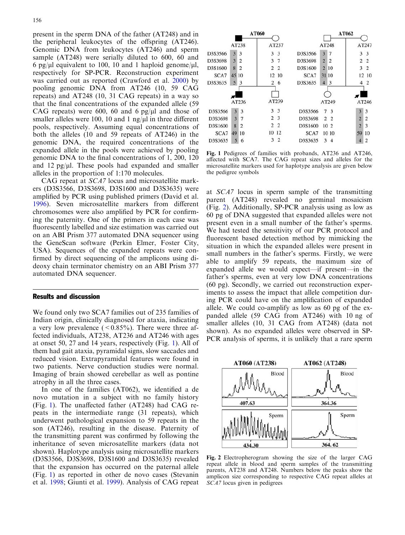present in the sperm DNA of the father (AT248) and in the peripheral leukocytes of the offspring (AT246). Genomic DNA from leukocytes (AT246) and sperm sample (AT248) were serially diluted to 600, 60 and 6 pg/ $\mu$ l equivalent to 100, 10 and 1 haploid genome/ $\mu$ l, respectively for SP-PCR. Reconstruction experiment was carried out as reported (Crawford et al. 2000) by pooling genomic DNA from AT246 (10, 59 CAG repeats) and AT248 (10, 31 CAG repeats) in a way so that the final concentrations of the expanded allele (59 CAG repeats) were 600, 60 and 6 pg/ $\mu$ l and those of smaller alleles were 100, 10 and 1 ng/ $\mu$ l in three different pools, respectively. Assuming equal concentrations of both the alleles (10 and 59 repeats of AT246) in the genomic DNA, the required concentrations of the expanded allele in the pools were achieved by pooling genomic DNA to the final concentrations of 1, 200, 120 and 12 pg/ $\mu$ l. These pools had expanded and smaller alleles in the proportion of 1:170 molecules.

CAG repeat at SCA7 locus and microsatellite markers (D3S3566, D3S3698, D3S1600 and D3S3635) were amplified by PCR using published primers (David et al. 1996). Seven microsatellite markers from different chromosomes were also amplified by PCR for confirming the paternity. One of the primers in each case was fluorescently labelled and size estimation was carried out on an ABI Prism 377 automated DNA sequencer using the GeneScan software (Perkin Elmer, Foster City, USA). Sequences of the expanded repeats were confirmed by direct sequencing of the amplicons using dideoxy chain terminator chemistry on an ABI Prism 377 automated DNA sequencer.

### Results and discussion

We found only two SCA7 families out of 235 families of Indian origin, clinically diagnosed for ataxia, indicating a very low prevalence  $(< 0.85\%)$ . There were three affected individuals, AT238, AT236 and AT246 with ages at onset 50, 27 and 14 years, respectively (Fig. 1). All of them had gait ataxia, pyramidal signs, slow saccades and reduced vision. Extrapyramidal features were found in two patients. Nerve conduction studies were normal. Imaging of brain showed cerebellar as well as pontine atrophy in all the three cases.

In one of the families (AT062), we identified a de novo mutation in a subject with no family history (Fig. 1). The unaffected father (AT248) had CAG repeats in the intermediate range (31 repeats), which underwent pathological expansion to 59 repeats in the son (AT246), resulting in the disease. Paternity of the transmitting parent was confirmed by following the inheritance of seven microsatellite markers (data not shown). Haplotype analysis using microsatellite markers (D3S3566, D3S3698, D3S1600 and D3S3635) revealed that the expansion has occurred on the paternal allele (Fig. 1) as reported in other de novo cases (Stevanin et al. 1998; Giunti et al. 1999). Analysis of CAG repeat



Fig. 1 Pedigrees of families with probands, AT236 and AT246, affected with SCA7. The CAG repeat sizes and alleles for the microsatellite markers used for haplotype analysis are given below the pedigree symbols

at SCA7 locus in sperm sample of the transmitting parent (AT248) revealed no germinal mosaicism (Fig. 2). Additionally, SP-PCR analysis using as low as 60 pg of DNA suggested that expanded alleles were not present even in a small number of the father's sperms. We had tested the sensitivity of our PCR protocol and fluorescent based detection method by mimicking the situation in which the expanded alleles were present in small numbers in the father's sperms. Firstly, we were able to amplify 59 repeats, the maximum size of expanded allele we would expect—if present—in the father's sperms, even at very low DNA concentrations (60 pg). Secondly, we carried out reconstruction experiments to assess the impact that allele competition during PCR could have on the amplification of expanded allele. We could co-amplify as low as 60 pg of the expanded allele (59 CAG from AT246) with 10 ng of smaller alleles (10, 31 CAG from AT248) (data not shown). As no expanded alleles were observed in SP-PCR analysis of sperms, it is unlikely that a rare sperm



Fig. 2 Electropherogram showing the size of the larger CAG repeat allele in blood and sperm samples of the transmitting parents, AT238 and AT248. Numbers below the peaks show the amplicon size corresponding to respective CAG repeat alleles at SCA7 locus given in pedigrees